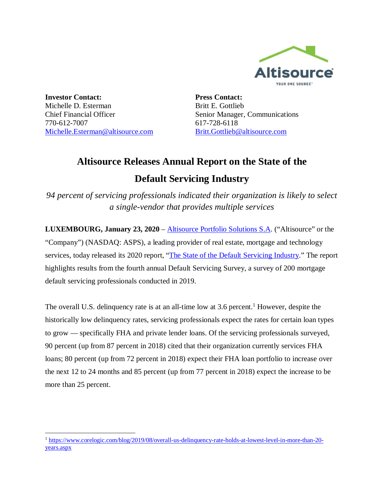

**Investor Contact:** Michelle D. Esterman Chief Financial Officer 770-612-7007 Michelle.Esterman@altisource.com **Press Contact:** Britt E. Gottlieb Senior Manager, Communications 617-728-6118 Britt.Gottlieb@altisource.com

## **Altisource Releases Annual Report on the State of the**

## **Default Servicing Industry**

*94 percent of servicing professionals indicated their organization is likely to select a single-vendor that provides multiple services*

**LUXEMBOURG, January 23, 2020** – Altisource Portfolio Solutions S.A. ("Altisource" or the "Company") (NASDAQ: ASPS), a leading provider of real estate, mortgage and technology services, today released its 2020 report, "The State of the Default Servicing Industry." The report highlights results from the fourth annual Default Servicing Survey, a survey of 200 mortgage default servicing professionals conducted in 2019.

The overall U.S. delinquency rate is at an all-time low at 3.6 percent.<sup>1</sup> However, despite the historically low delinquency rates, servicing professionals expect the rates for certain loan types to grow — specifically FHA and private lender loans. Of the servicing professionals surveyed, 90 percent (up from 87 percent in 2018) cited that their organization currently services FHA loans; 80 percent (up from 72 percent in 2018) expect their FHA loan portfolio to increase over the next 12 to 24 months and 85 percent (up from 77 percent in 2018) expect the increase to be more than 25 percent.

<sup>1</sup> https://www.corelogic.com/blog/2019/08/overall-us-delinquency-rate-holds-at-lowest-level-in-more-than-20 years.aspx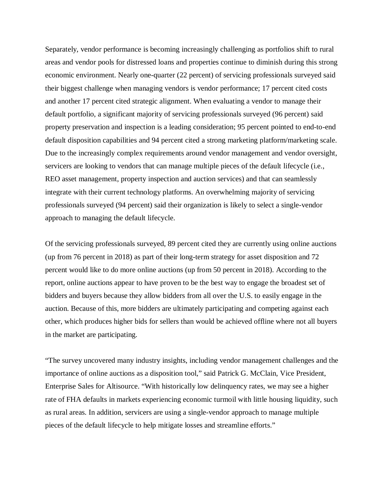Separately, vendor performance is becoming increasingly challenging as portfolios shift to rural areas and vendor pools for distressed loans and properties continue to diminish during this strong economic environment. Nearly one-quarter (22 percent) of servicing professionals surveyed said their biggest challenge when managing vendors is vendor performance; 17 percent cited costs and another 17 percent cited strategic alignment. When evaluating a vendor to manage their default portfolio, a significant majority of servicing professionals surveyed (96 percent) said property preservation and inspection is a leading consideration; 95 percent pointed to end-to-end default disposition capabilities and 94 percent cited a strong marketing platform/marketing scale. Due to the increasingly complex requirements around vendor management and vendor oversight, servicers are looking to vendors that can manage multiple pieces of the default lifecycle (i.e., REO asset management, property inspection and auction services) and that can seamlessly integrate with their current technology platforms. An overwhelming majority of servicing professionals surveyed (94 percent) said their organization is likely to select a single-vendor approach to managing the default lifecycle.

Of the servicing professionals surveyed, 89 percent cited they are currently using online auctions (up from 76 percent in 2018) as part of their long-term strategy for asset disposition and 72 percent would like to do more online auctions (up from 50 percent in 2018). According to the report, online auctions appear to have proven to be the best way to engage the broadest set of bidders and buyers because they allow bidders from all over the U.S. to easily engage in the auction. Because of this, more bidders are ultimately participating and competing against each other, which produces higher bids for sellers than would be achieved offline where not all buyers in the market are participating.

"The survey uncovered many industry insights, including vendor management challenges and the importance of online auctions as a disposition tool," said Patrick G. McClain, Vice President, Enterprise Sales for Altisource. "With historically low delinquency rates, we may see a higher rate of FHA defaults in markets experiencing economic turmoil with little housing liquidity, such as rural areas. In addition, servicers are using a single-vendor approach to manage multiple pieces of the default lifecycle to help mitigate losses and streamline efforts."